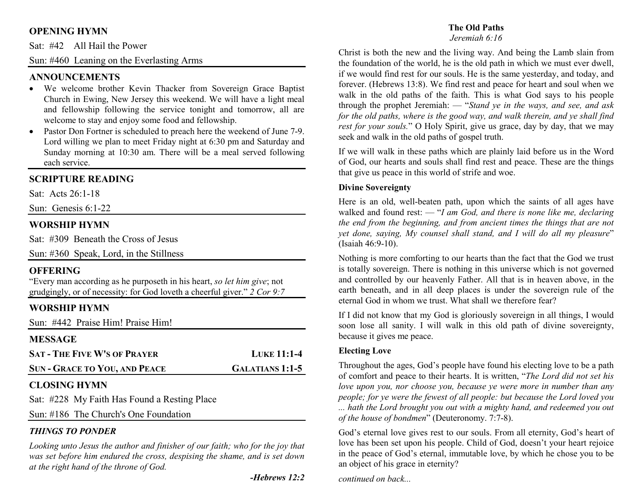## **OPENING HYMN**

Sat: #42 All Hail the Power

Sun: #460 Leaning on the Everlasting Arms

### **ANNOUNCEMENTS**

- We welcome brother Kevin Thacker from Sovereign Grace Baptist Church in Ewing, New Jersey this weekend. We will have a light meal and fellowship following the service tonight and tomorrow, all are welcome to stay and enjoy some food and fellowship.
- Pastor Don Fortner is scheduled to preach here the weekend of June 7-9. •Lord willing we plan to meet Friday night at 6:30 pm and Saturday and Sunday morning at 10:30 am. There will be a meal served following each service.

### **SCRIPTURE READING**

Sat: Acts 26:1-18

Sun: Genesis 6:1-22

### **WORSHIP HYMN**

Sat: #309 Beneath the Cross of Jesus

Sun: #360 Speak, Lord, in the Stillness

### **OFFERING**

 "Every man according as he purposeth in his heart, *so let him give*; not grudgingly, or of necessity: for God loveth a cheerful giver." *2 Cor 9:7*

# **WORSHIP HYMN**

Sun: #442 Praise Him! Praise Him!

### **MESSAGE**

| <b>SAT - THE FIVE W'S OF PRAYER</b>  | <b>LUKE 11:1-4</b> |
|--------------------------------------|--------------------|
| <b>SUN - GRACE TO YOU, AND PEACE</b> | GALATIANS 1:1-5    |

# **CLOSING HYMN**

Sat: #228 My Faith Has Found a Resting Place

Sun: #186 The Church's One Foundation

# *THINGS TO PONDER*

 *Looking unto Jesus the author and finisher of our faith; who for the joy that was set before him endured the cross, despising the shame, and is set down at the right hand of the throne of God.* 

### **The Old Paths**

#### *Jeremiah 6:16*

Christ is both the new and the living way. And being the Lamb slain from the foundation of the world, he is the old path in which we must ever dwell, if we would find rest for our souls. He is the same yesterday, and today, and forever. (Hebrews 13:8). We find rest and peace for heart and soul when we walk in the old paths of the faith. This is what God says to his people through the prophet Jeremiah: — "*Stand ye in the ways, and see, and ask* for the old paths, where is the good way, and walk therein, and ye shall find *rest for your souls.*" O Holy Spirit, give us grace, day by day, that we may seek and walk in the old paths of gospel truth.

If we will walk in these paths which are plainly laid before us in the Word of God, our hearts and souls shall find rest and peace. These are the things that give us peace in this world of strife and woe.

### **Divine Sovereignty**

Here is an old, well-beaten path, upon which the saints of all ages have walked and found rest: — "*I am God, and there is none like me, declaring the end from the beginning, and from ancient times the things that are not yet done, saying, My counsel shall stand, and I will do all my pleasure*" (Isaiah 46:9-10).

Nothing is more comforting to our hearts than the fact that the God we trust is totally sovereign. There is nothing in this universe which is not governed and controlled by our heavenly Father. All that is in heaven above, in the earth beneath, and in all deep places is under the sovereign rule of the eternal God in whom we trust. What shall we therefore fear?

If I did not know that my God is gloriously sovereign in all things, I would soon lose all sanity. I will walk in this old path of divine sovereignty, because it gives me peace.

### **Electing Love**

Throughout the ages, God's people have found his electing love to be a path of comfort and peace to their hearts. It is written, "*The Lord did not set his love upon you, nor choose you, because ye were more in number than any people; for ye were the fewest of all people: but because the Lord loved you ... hath the Lord brought you out with a mighty hand, and redeemed you out of the house of bondmen*" (Deuteronomy. 7:7-8).

God's eternal love gives rest to our souls. From all eternity, God's heart of love has been set upon his people. Child of God, doesn't your heart rejoice in the peace of God's eternal, immutable love, by which he chose you to be an object of his grace in eternity?

*continued on back...*